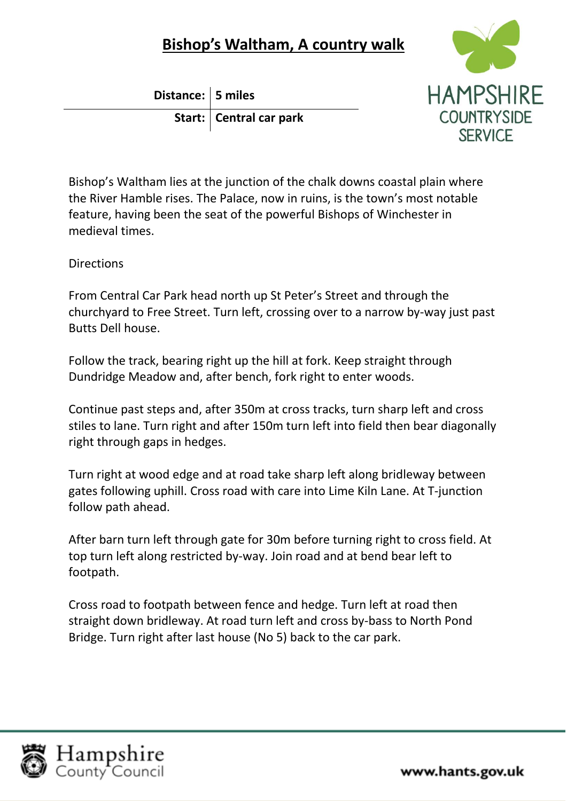## **Bishop's Waltham, A country walk**

**Distance: 5 miles Start: Central car park**



Bishop's Waltham lies at the junction of the chalk downs coastal plain where the River Hamble rises. The Palace, now in ruins, is the town's most notable feature, having been the seat of the powerful Bishops of Winchester in medieval times.

**Directions** 

From Central Car Park head north up St Peter's Street and through the churchyard to Free Street. Turn left, crossing over to a narrow by-way just past Butts Dell house.

Follow the track, bearing right up the hill at fork. Keep straight through Dundridge Meadow and, after bench, fork right to enter woods.

Continue past steps and, after 350m at cross tracks, turn sharp left and cross stiles to lane. Turn right and after 150m turn left into field then bear diagonally right through gaps in hedges.

Turn right at wood edge and at road take sharp left along bridleway between gates following uphill. Cross road with care into Lime Kiln Lane. At T-junction follow path ahead.

After barn turn left through gate for 30m before turning right to cross field. At top turn left along restricted by-way. Join road and at bend bear left to footpath.

Cross road to footpath between fence and hedge. Turn left at road then straight down bridleway. At road turn left and cross by-bass to North Pond Bridge. Turn right after last house (No 5) back to the car park.